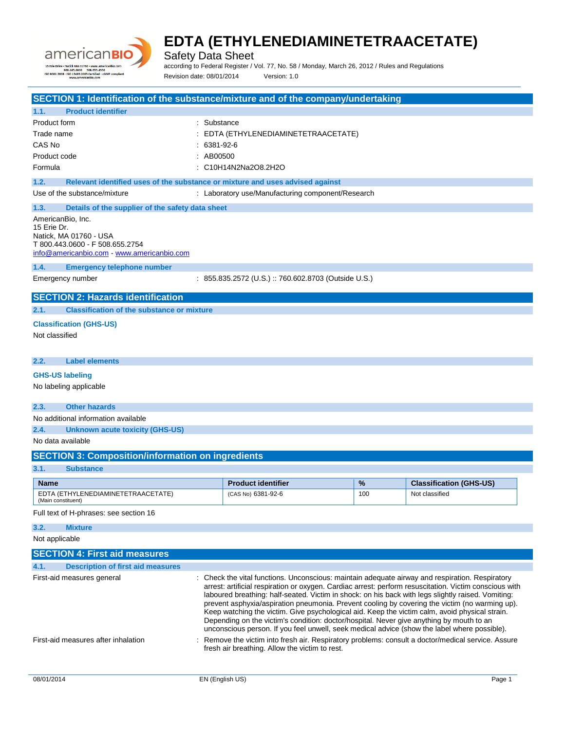

Safety Data Sheet

according to Federal Register / Vol. 77, No. 58 / Monday, March 26, 2012 / Rules and Regulations Revision date: 08/01/2014 Version: 1.0

| SECTION 1: Identification of the substance/mixture and of the company/undertaking                                                                                                                     |             |                                                                                                                                                                                                                                                                                                                                                                                                                                                                                                                                                                                                                                                                                                               |     |                                |
|-------------------------------------------------------------------------------------------------------------------------------------------------------------------------------------------------------|-------------|---------------------------------------------------------------------------------------------------------------------------------------------------------------------------------------------------------------------------------------------------------------------------------------------------------------------------------------------------------------------------------------------------------------------------------------------------------------------------------------------------------------------------------------------------------------------------------------------------------------------------------------------------------------------------------------------------------------|-----|--------------------------------|
| 1.1.<br><b>Product identifier</b>                                                                                                                                                                     |             |                                                                                                                                                                                                                                                                                                                                                                                                                                                                                                                                                                                                                                                                                                               |     |                                |
| Product form                                                                                                                                                                                          | : Substance |                                                                                                                                                                                                                                                                                                                                                                                                                                                                                                                                                                                                                                                                                                               |     |                                |
| Trade name                                                                                                                                                                                            |             | EDTA (ETHYLENEDIAMINETETRAACETATE)                                                                                                                                                                                                                                                                                                                                                                                                                                                                                                                                                                                                                                                                            |     |                                |
| CAS No                                                                                                                                                                                                |             | 6381-92-6                                                                                                                                                                                                                                                                                                                                                                                                                                                                                                                                                                                                                                                                                                     |     |                                |
| Product code                                                                                                                                                                                          | AB00500     |                                                                                                                                                                                                                                                                                                                                                                                                                                                                                                                                                                                                                                                                                                               |     |                                |
| Formula                                                                                                                                                                                               |             | : C10H14N2Na2O8.2H2O                                                                                                                                                                                                                                                                                                                                                                                                                                                                                                                                                                                                                                                                                          |     |                                |
|                                                                                                                                                                                                       |             |                                                                                                                                                                                                                                                                                                                                                                                                                                                                                                                                                                                                                                                                                                               |     |                                |
| 1.2.                                                                                                                                                                                                  |             | Relevant identified uses of the substance or mixture and uses advised against                                                                                                                                                                                                                                                                                                                                                                                                                                                                                                                                                                                                                                 |     |                                |
| Use of the substance/mixture                                                                                                                                                                          |             | : Laboratory use/Manufacturing component/Research                                                                                                                                                                                                                                                                                                                                                                                                                                                                                                                                                                                                                                                             |     |                                |
| 1.3.<br>Details of the supplier of the safety data sheet<br>AmericanBio, Inc.<br>15 Erie Dr.<br>Natick, MA 01760 - USA<br>T 800.443.0600 - F 508.655.2754<br>info@americanbio.com www.americanbio.com |             |                                                                                                                                                                                                                                                                                                                                                                                                                                                                                                                                                                                                                                                                                                               |     |                                |
| <b>Emergency telephone number</b><br>1.4.                                                                                                                                                             |             |                                                                                                                                                                                                                                                                                                                                                                                                                                                                                                                                                                                                                                                                                                               |     |                                |
| Emergency number                                                                                                                                                                                      |             | : 855.835.2572 (U.S.) :: 760.602.8703 (Outside U.S.)                                                                                                                                                                                                                                                                                                                                                                                                                                                                                                                                                                                                                                                          |     |                                |
| <b>SECTION 2: Hazards identification</b>                                                                                                                                                              |             |                                                                                                                                                                                                                                                                                                                                                                                                                                                                                                                                                                                                                                                                                                               |     |                                |
| 2.1.<br><b>Classification of the substance or mixture</b>                                                                                                                                             |             |                                                                                                                                                                                                                                                                                                                                                                                                                                                                                                                                                                                                                                                                                                               |     |                                |
| <b>Classification (GHS-US)</b>                                                                                                                                                                        |             |                                                                                                                                                                                                                                                                                                                                                                                                                                                                                                                                                                                                                                                                                                               |     |                                |
| Not classified                                                                                                                                                                                        |             |                                                                                                                                                                                                                                                                                                                                                                                                                                                                                                                                                                                                                                                                                                               |     |                                |
|                                                                                                                                                                                                       |             |                                                                                                                                                                                                                                                                                                                                                                                                                                                                                                                                                                                                                                                                                                               |     |                                |
| <b>Label elements</b><br>2.2.                                                                                                                                                                         |             |                                                                                                                                                                                                                                                                                                                                                                                                                                                                                                                                                                                                                                                                                                               |     |                                |
| <b>GHS-US labeling</b><br>No labeling applicable<br>2.3.<br><b>Other hazards</b><br>No additional information available                                                                               |             |                                                                                                                                                                                                                                                                                                                                                                                                                                                                                                                                                                                                                                                                                                               |     |                                |
| 2.4.<br><b>Unknown acute toxicity (GHS-US)</b>                                                                                                                                                        |             |                                                                                                                                                                                                                                                                                                                                                                                                                                                                                                                                                                                                                                                                                                               |     |                                |
| No data available                                                                                                                                                                                     |             |                                                                                                                                                                                                                                                                                                                                                                                                                                                                                                                                                                                                                                                                                                               |     |                                |
| <b>SECTION 3: Composition/information on ingredients</b>                                                                                                                                              |             |                                                                                                                                                                                                                                                                                                                                                                                                                                                                                                                                                                                                                                                                                                               |     |                                |
| 3.1.<br><b>Substance</b>                                                                                                                                                                              |             |                                                                                                                                                                                                                                                                                                                                                                                                                                                                                                                                                                                                                                                                                                               |     |                                |
|                                                                                                                                                                                                       |             |                                                                                                                                                                                                                                                                                                                                                                                                                                                                                                                                                                                                                                                                                                               |     |                                |
| Name                                                                                                                                                                                                  |             | <b>Product identifier</b>                                                                                                                                                                                                                                                                                                                                                                                                                                                                                                                                                                                                                                                                                     | %   | <b>Classification (GHS-US)</b> |
| EDTA (ETHYLENEDIAMINETETRAACETATE)<br>(Main constituent)                                                                                                                                              |             | (CAS No) 6381-92-6                                                                                                                                                                                                                                                                                                                                                                                                                                                                                                                                                                                                                                                                                            | 100 | Not classified                 |
| Full text of H-phrases: see section 16                                                                                                                                                                |             |                                                                                                                                                                                                                                                                                                                                                                                                                                                                                                                                                                                                                                                                                                               |     |                                |
| 3.2.<br><b>Mixture</b>                                                                                                                                                                                |             |                                                                                                                                                                                                                                                                                                                                                                                                                                                                                                                                                                                                                                                                                                               |     |                                |
| Not applicable                                                                                                                                                                                        |             |                                                                                                                                                                                                                                                                                                                                                                                                                                                                                                                                                                                                                                                                                                               |     |                                |
| <b>SECTION 4: First aid measures</b>                                                                                                                                                                  |             |                                                                                                                                                                                                                                                                                                                                                                                                                                                                                                                                                                                                                                                                                                               |     |                                |
| 4.1.<br><b>Description of first aid measures</b>                                                                                                                                                      |             |                                                                                                                                                                                                                                                                                                                                                                                                                                                                                                                                                                                                                                                                                                               |     |                                |
| First-aid measures general                                                                                                                                                                            |             | Check the vital functions. Unconscious: maintain adequate airway and respiration. Respiratory<br>arrest: artificial respiration or oxygen. Cardiac arrest: perform resuscitation. Victim conscious with<br>laboured breathing: half-seated. Victim in shock: on his back with legs slightly raised. Vomiting:<br>prevent asphyxia/aspiration pneumonia. Prevent cooling by covering the victim (no warming up).<br>Keep watching the victim. Give psychological aid. Keep the victim calm, avoid physical strain.<br>Depending on the victim's condition: doctor/hospital. Never give anything by mouth to an<br>unconscious person. If you feel unwell, seek medical advice (show the label where possible). |     |                                |
| First-aid measures after inhalation                                                                                                                                                                   |             | Remove the victim into fresh air. Respiratory problems: consult a doctor/medical service. Assure<br>fresh air breathing. Allow the victim to rest.                                                                                                                                                                                                                                                                                                                                                                                                                                                                                                                                                            |     |                                |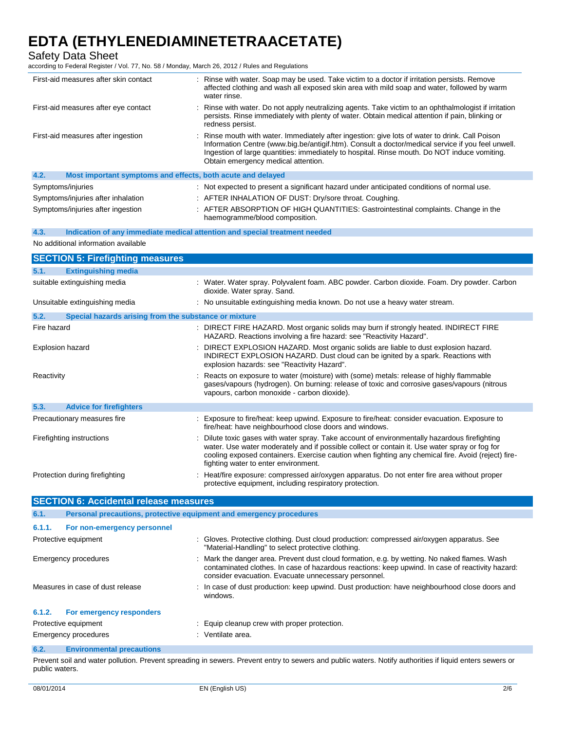Safety Data Sheet

according to Federal Register / Vol. 77, No. 58 / Monday, March 26, 2012 / Rules and Regulations

| First-aid measures after skin contact                               | : Rinse with water. Soap may be used. Take victim to a doctor if irritation persists. Remove<br>affected clothing and wash all exposed skin area with mild soap and water, followed by warm<br>water rinse.                                                                                                                                 |
|---------------------------------------------------------------------|---------------------------------------------------------------------------------------------------------------------------------------------------------------------------------------------------------------------------------------------------------------------------------------------------------------------------------------------|
| First-aid measures after eye contact                                | : Rinse with water. Do not apply neutralizing agents. Take victim to an ophthalmologist if irritation<br>persists. Rinse immediately with plenty of water. Obtain medical attention if pain, blinking or<br>redness persist.                                                                                                                |
| First-aid measures after ingestion                                  | : Rinse mouth with water. Immediately after ingestion: give lots of water to drink. Call Poison<br>Information Centre (www.big.be/antigif.htm). Consult a doctor/medical service if you feel unwell.<br>Ingestion of large quantities: immediately to hospital. Rinse mouth. Do NOT induce vomiting.<br>Obtain emergency medical attention. |
| 4.2.<br>Most important symptoms and effects, both acute and delayed |                                                                                                                                                                                                                                                                                                                                             |
| Symptoms/injuries                                                   | : Not expected to present a significant hazard under anticipated conditions of normal use.                                                                                                                                                                                                                                                  |
| Symptoms/injuries after inhalation                                  | : AFTER INHALATION OF DUST: Dry/sore throat. Coughing.                                                                                                                                                                                                                                                                                      |
| Symptoms/injuries after ingestion                                   | : AFTER ABSORPTION OF HIGH QUANTITIES: Gastrointestinal complaints. Change in the                                                                                                                                                                                                                                                           |

haemogramme/blood composition.

|  | 4.3. |  | Indication of any immediate medical attention and special treatment needed |  |  |  |
|--|------|--|----------------------------------------------------------------------------|--|--|--|
|--|------|--|----------------------------------------------------------------------------|--|--|--|

### No additional information available

| <b>SECTION 5: Firefighting measures</b>                                     |                                                                                                                                                                                                                                                                                                                                            |
|-----------------------------------------------------------------------------|--------------------------------------------------------------------------------------------------------------------------------------------------------------------------------------------------------------------------------------------------------------------------------------------------------------------------------------------|
| 5.1.<br><b>Extinguishing media</b>                                          |                                                                                                                                                                                                                                                                                                                                            |
| suitable extinguishing media                                                | : Water. Water spray. Polyvalent foam. ABC powder. Carbon dioxide. Foam. Dry powder. Carbon<br>dioxide. Water spray. Sand.                                                                                                                                                                                                                 |
| Unsuitable extinguishing media                                              | : No unsuitable extinguishing media known. Do not use a heavy water stream.                                                                                                                                                                                                                                                                |
| Special hazards arising from the substance or mixture<br>5.2.               |                                                                                                                                                                                                                                                                                                                                            |
| Fire hazard                                                                 | : DIRECT FIRE HAZARD. Most organic solids may burn if strongly heated. INDIRECT FIRE<br>HAZARD. Reactions involving a fire hazard: see "Reactivity Hazard".                                                                                                                                                                                |
| <b>Explosion hazard</b>                                                     | DIRECT EXPLOSION HAZARD. Most organic solids are liable to dust explosion hazard.<br>INDIRECT EXPLOSION HAZARD. Dust cloud can be ignited by a spark. Reactions with<br>explosion hazards: see "Reactivity Hazard".                                                                                                                        |
| Reactivity                                                                  | : Reacts on exposure to water (moisture) with (some) metals: release of highly flammable<br>gases/vapours (hydrogen). On burning: release of toxic and corrosive gases/vapours (nitrous<br>vapours, carbon monoxide - carbon dioxide).                                                                                                     |
| 5.3.<br><b>Advice for firefighters</b>                                      |                                                                                                                                                                                                                                                                                                                                            |
| Precautionary measures fire                                                 | : Exposure to fire/heat: keep upwind. Exposure to fire/heat: consider evacuation. Exposure to<br>fire/heat: have neighbourhood close doors and windows.                                                                                                                                                                                    |
| Firefighting instructions                                                   | Dilute toxic gases with water spray. Take account of environmentally hazardous firefighting<br>water. Use water moderately and if possible collect or contain it. Use water spray or fog for<br>cooling exposed containers. Exercise caution when fighting any chemical fire. Avoid (reject) fire-<br>fighting water to enter environment. |
| Protection during firefighting                                              | : Heat/fire exposure: compressed air/oxygen apparatus. Do not enter fire area without proper<br>protective equipment, including respiratory protection.                                                                                                                                                                                    |
| <b>SECTION 6: Accidental release measures</b>                               |                                                                                                                                                                                                                                                                                                                                            |
| 6.1.<br>Personal precautions, protective equipment and emergency procedures |                                                                                                                                                                                                                                                                                                                                            |
| 6.1.1.<br>For non-emergency personnel                                       |                                                                                                                                                                                                                                                                                                                                            |
| Protective equipment                                                        | : Gloves. Protective clothing. Dust cloud production: compressed air/oxygen apparatus. See<br>"Material-Handling" to select protective clothing.                                                                                                                                                                                           |
| Emergency procedures                                                        | Mark the danger area. Prevent dust cloud formation, e.g. by wetting. No naked flames. Wash<br>contaminated clothes. In case of hazardous reactions: keep upwind. In case of reactivity hazard:<br>consider evacuation. Evacuate unnecessary personnel.                                                                                     |
| Measures in case of dust release                                            | : In case of dust production: keep upwind. Dust production: have neighbourhood close doors and<br>windows.                                                                                                                                                                                                                                 |

### **6.1.2. For emergency responders**

| Protective equipment | Equip cleanup crew with proper protection. |
|----------------------|--------------------------------------------|
| Emergency procedures | Ventilate area.                            |

# **6.2. Environmental precautions**

Prevent soil and water pollution. Prevent spreading in sewers. Prevent entry to sewers and public waters. Notify authorities if liquid enters sewers or public waters.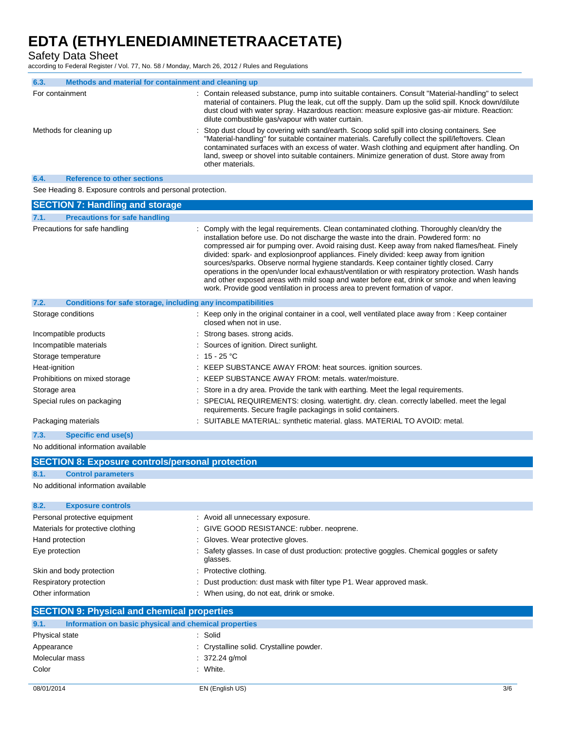Safety Data Sheet

according to Federal Register / Vol. 77, No. 58 / Monday, March 26, 2012 / Rules and Regulations

| 6.3.            | Methods and material for containment and cleaning up |                                                                                                                                                                                                                                                                                                                                                                                                                          |
|-----------------|------------------------------------------------------|--------------------------------------------------------------------------------------------------------------------------------------------------------------------------------------------------------------------------------------------------------------------------------------------------------------------------------------------------------------------------------------------------------------------------|
| For containment |                                                      | : Contain released substance, pump into suitable containers. Consult "Material-handling" to select<br>material of containers. Plug the leak, cut off the supply. Dam up the solid spill. Knock down/dilute<br>dust cloud with water spray. Hazardous reaction: measure explosive gas-air mixture. Reaction:<br>dilute combustible gas/vapour with water curtain.                                                         |
|                 | Methods for cleaning up                              | : Stop dust cloud by covering with sand/earth. Scoop solid spill into closing containers. See<br>"Material-handling" for suitable container materials. Carefully collect the spill/leftovers. Clean<br>contaminated surfaces with an excess of water. Wash clothing and equipment after handling. On<br>land, sweep or shovel into suitable containers. Minimize generation of dust. Store away from<br>other materials. |
| 6.4.            | <b>Reference to other sections</b>                   |                                                                                                                                                                                                                                                                                                                                                                                                                          |

See Heading 8. Exposure controls and personal protection.

| <b>SECTION 7: Handling and storage</b>                               |                                                                                                                                                                                                                                                                                                                                                                                                                                                                                                                                                                                                                                                                                                                                                                 |
|----------------------------------------------------------------------|-----------------------------------------------------------------------------------------------------------------------------------------------------------------------------------------------------------------------------------------------------------------------------------------------------------------------------------------------------------------------------------------------------------------------------------------------------------------------------------------------------------------------------------------------------------------------------------------------------------------------------------------------------------------------------------------------------------------------------------------------------------------|
| <b>Precautions for safe handling</b><br>7.1.                         |                                                                                                                                                                                                                                                                                                                                                                                                                                                                                                                                                                                                                                                                                                                                                                 |
| Precautions for safe handling                                        | : Comply with the legal requirements. Clean contaminated clothing. Thoroughly clean/dry the<br>installation before use. Do not discharge the waste into the drain. Powdered form: no<br>compressed air for pumping over. Avoid raising dust. Keep away from naked flames/heat. Finely<br>divided: spark- and explosionproof appliances. Finely divided: keep away from ignition<br>sources/sparks. Observe normal hygiene standards. Keep container tightly closed. Carry<br>operations in the open/under local exhaust/ventilation or with respiratory protection. Wash hands<br>and other exposed areas with mild soap and water before eat, drink or smoke and when leaving<br>work. Provide good ventilation in process area to prevent formation of vapor. |
| 7.2.<br>Conditions for safe storage, including any incompatibilities |                                                                                                                                                                                                                                                                                                                                                                                                                                                                                                                                                                                                                                                                                                                                                                 |
| Storage conditions                                                   | : Keep only in the original container in a cool, well ventilated place away from : Keep container<br>closed when not in use.                                                                                                                                                                                                                                                                                                                                                                                                                                                                                                                                                                                                                                    |
| Incompatible products                                                | : Strong bases. strong acids.                                                                                                                                                                                                                                                                                                                                                                                                                                                                                                                                                                                                                                                                                                                                   |
| Incompatible materials                                               | : Sources of ignition. Direct sunlight.                                                                                                                                                                                                                                                                                                                                                                                                                                                                                                                                                                                                                                                                                                                         |
| Storage temperature                                                  | : $15 - 25$ °C                                                                                                                                                                                                                                                                                                                                                                                                                                                                                                                                                                                                                                                                                                                                                  |
| Heat-ignition                                                        | : KEEP SUBSTANCE AWAY FROM: heat sources. ignition sources.                                                                                                                                                                                                                                                                                                                                                                                                                                                                                                                                                                                                                                                                                                     |
| Prohibitions on mixed storage                                        | : KEEP SUBSTANCE AWAY FROM: metals. water/moisture.                                                                                                                                                                                                                                                                                                                                                                                                                                                                                                                                                                                                                                                                                                             |
| Storage area                                                         | : Store in a dry area. Provide the tank with earthing. Meet the legal requirements.                                                                                                                                                                                                                                                                                                                                                                                                                                                                                                                                                                                                                                                                             |
| Special rules on packaging                                           | : SPECIAL REQUIREMENTS: closing. watertight. dry. clean. correctly labelled. meet the legal<br>requirements. Secure fragile packagings in solid containers.                                                                                                                                                                                                                                                                                                                                                                                                                                                                                                                                                                                                     |
| Packaging materials                                                  | : SUITABLE MATERIAL: synthetic material. glass. MATERIAL TO AVOID: metal.                                                                                                                                                                                                                                                                                                                                                                                                                                                                                                                                                                                                                                                                                       |

**7.3. Specific end use(s)**

No additional information available

|                 | <b>SECTION 8: Exposure controls/personal protection</b> |                                                                                                          |
|-----------------|---------------------------------------------------------|----------------------------------------------------------------------------------------------------------|
| 8.1.            | <b>Control parameters</b>                               |                                                                                                          |
|                 | No additional information available                     |                                                                                                          |
|                 |                                                         |                                                                                                          |
| 8.2.            | <b>Exposure controls</b>                                |                                                                                                          |
|                 | Personal protective equipment                           | : Avoid all unnecessary exposure.                                                                        |
|                 | Materials for protective clothing                       | : GIVE GOOD RESISTANCE: rubber. neoprene.                                                                |
| Hand protection |                                                         | : Gloves. Wear protective gloves.                                                                        |
| Eye protection  |                                                         | : Safety glasses. In case of dust production: protective goggles. Chemical goggles or safety<br>glasses. |
|                 | Skin and body protection                                | : Protective clothing.                                                                                   |
|                 | Respiratory protection                                  | : Dust production: dust mask with filter type P1. Wear approved mask.                                    |
|                 | Other information                                       | : When using, do not eat, drink or smoke.                                                                |
|                 | <b>SECTION 9: Physical and chemical properties</b>      |                                                                                                          |
| 9.1.            | Information on basic physical and chemical properties   |                                                                                                          |

| Physical state | : Solid                                  |
|----------------|------------------------------------------|
| Appearance     | : Crystalline solid. Crystalline powder. |
| Molecular mass | $: 372.24$ g/mol                         |
| Color          | : White.                                 |
|                |                                          |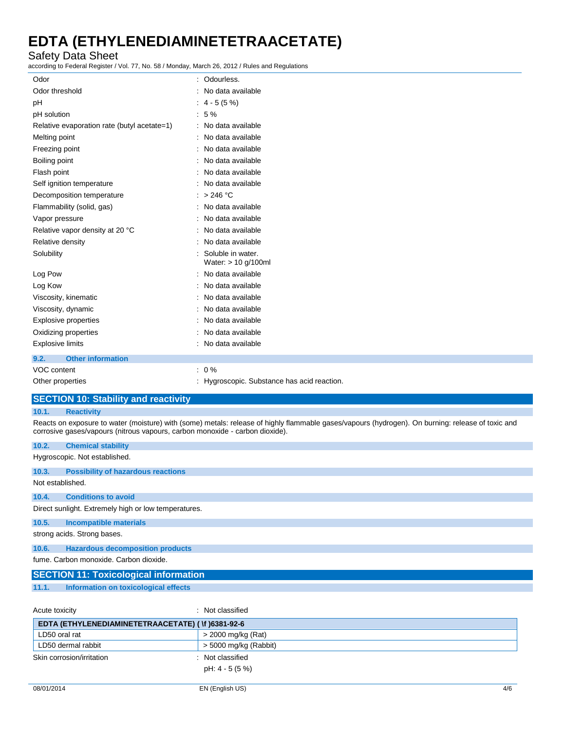# Safety Data Sheet

according to Federal Register / Vol. 77, No. 58 / Monday, March 26, 2012 / Rules and Regulations

| Odor                                        | : Odourless.                                |
|---------------------------------------------|---------------------------------------------|
| Odor threshold                              | : No data available                         |
| pH                                          | $: 4 - 5 (5%)$                              |
| pH solution                                 | $:5\%$                                      |
| Relative evaporation rate (butyl acetate=1) | : No data available                         |
| Melting point                               | : No data available                         |
| Freezing point                              | : No data available                         |
| Boiling point                               | : No data available                         |
| Flash point                                 | : No data available                         |
| Self ignition temperature                   | : No data available                         |
| Decomposition temperature                   | : > 246 °C                                  |
| Flammability (solid, gas)                   | : No data available                         |
| Vapor pressure                              | : No data available                         |
| Relative vapor density at 20 °C             | : No data available                         |
| Relative density                            | : No data available                         |
| Solubility                                  | Soluble in water.<br>Water: > 10 g/100ml    |
| Log Pow                                     | : No data available                         |
| Log Kow                                     | : No data available                         |
| Viscosity, kinematic                        | : No data available                         |
| Viscosity, dynamic                          | : No data available                         |
| Explosive properties                        | : No data available                         |
| Oxidizing properties                        | : No data available                         |
| <b>Explosive limits</b>                     | : No data available                         |
| 9.2.<br><b>Other information</b>            |                                             |
| VOC content                                 | $: 0 \%$                                    |
| Other properties                            | : Hygroscopic. Substance has acid reaction. |

# **SECTION 10: Stability and reactivity**

### **10.1. Reactivity**

Reacts on exposure to water (moisture) with (some) metals: release of highly flammable gases/vapours (hydrogen). On burning: release of toxic and corrosive gases/vapours (nitrous vapours, carbon monoxide - carbon dioxide).

| 10.2.            | <b>Chemical stability</b>                            |
|------------------|------------------------------------------------------|
|                  | Hygroscopic. Not established.                        |
| 10.3.            | <b>Possibility of hazardous reactions</b>            |
| Not established. |                                                      |
| 10.4.            | <b>Conditions to avoid</b>                           |
|                  | Direct sunlight. Extremely high or low temperatures. |
| 10.5.            | <b>Incompatible materials</b>                        |
|                  | strong acids. Strong bases.                          |
| 10.6.            | <b>Hazardous decomposition products</b>              |
|                  | fume. Carbon monoxide. Carbon dioxide.               |
|                  | <b>SECTION 11: Toxicological information</b>         |
| 11.1.            | Information on toxicological effects                 |

Acute toxicity in the contract of the classified in the classified in the classified in the classified in the contract of the contract of the contract of the contract of the contract of the contract of the contract of the **EDTA (ETHYLENEDIAMINETETRAACETATE) ( \f )6381-92-6** LD50 oral rat  $\vert$  > 2000 mg/kg (Rat) LD50 dermal rabbit  $\vert$  > 5000 mg/kg (Rabbit) Skin corrosion/irritation : Not classified pH: 4 - 5 (5 %)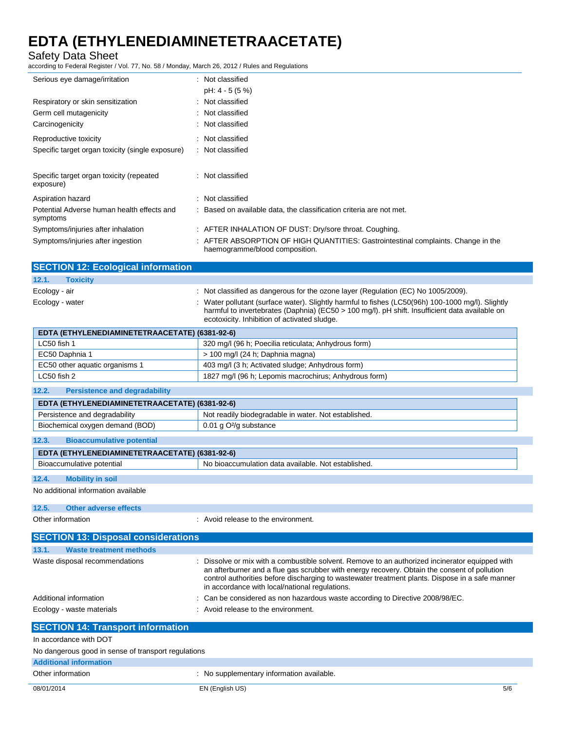Safety Data Sheet

according to Federal Register / Vol. 77, No. 58 / Monday, March 26, 2012 / Rules and Regulations

| Serious eye damage/irritation                          | : Not classified                                                                                                    |
|--------------------------------------------------------|---------------------------------------------------------------------------------------------------------------------|
|                                                        | pH: 4 - 5 (5 %)                                                                                                     |
| Respiratory or skin sensitization                      | : Not classified                                                                                                    |
| Germ cell mutagenicity                                 | : Not classified                                                                                                    |
| Carcinogenicity                                        | Not classified                                                                                                      |
| Reproductive toxicity                                  | : Not classified                                                                                                    |
| Specific target organ toxicity (single exposure)       | : Not classified                                                                                                    |
| Specific target organ toxicity (repeated<br>exposure)  | : Not classified                                                                                                    |
| Aspiration hazard                                      | Not classified                                                                                                      |
| Potential Adverse human health effects and<br>symptoms | : Based on available data, the classification criteria are not met.                                                 |
| Symptoms/injuries after inhalation                     | : AFTER INHALATION OF DUST: Dry/sore throat. Coughing.                                                              |
| Symptoms/injuries after ingestion                      | : AFTER ABSORPTION OF HIGH QUANTITIES: Gastrointestinal complaints. Change in the<br>haemogramme/blood composition. |

| <b>SECTION 12: Ecological information</b> |                                                                                                                                                                                                                                                     |
|-------------------------------------------|-----------------------------------------------------------------------------------------------------------------------------------------------------------------------------------------------------------------------------------------------------|
| 12.1.<br><b>Toxicity</b>                  |                                                                                                                                                                                                                                                     |
| Ecology - air                             | : Not classified as dangerous for the ozone layer (Regulation (EC) No 1005/2009).                                                                                                                                                                   |
| Ecology - water                           | : Water pollutant (surface water). Slightly harmful to fishes (LC50(96h) 100-1000 mg/l). Slightly<br>harmful to invertebrates (Daphnia) (EC50 > 100 mg/l). pH shift. Insufficient data available on<br>ecotoxicity. Inhibition of activated sludge. |

| EDTA (ETHYLENEDIAMINETETRAACETATE) (6381-92-6) |                                                       |  |
|------------------------------------------------|-------------------------------------------------------|--|
| LC50 fish 1                                    | 320 mg/l (96 h; Poecilia reticulata; Anhydrous form)  |  |
| EC50 Daphnia 1                                 | > 100 mg/l (24 h; Daphnia magna)                      |  |
| EC50 other aquatic organisms 1                 | 403 mg/l (3 h; Activated sludge; Anhydrous form)      |  |
| LC50 fish 2                                    | 1827 mg/l (96 h; Lepomis macrochirus; Anhydrous form) |  |

**12.2. Persistence and degradability**

| EDTA (ETHYLENEDIAMINETETRAACETATE) (6381-92-6) |                                                      |  |
|------------------------------------------------|------------------------------------------------------|--|
| Persistence and degradability                  | Not readily biodegradable in water. Not established. |  |
| Biochemical oxygen demand (BOD)                | $0.01$ g O <sup>2</sup> /g substance                 |  |
| 12.3.<br><b>Bioaccumulative potential</b>      |                                                      |  |
| EDTA (ETHYLENEDIAMINETETRAACETATE) (6381-92-6) |                                                      |  |
| Bioaccumulative potential                      | No bioaccumulation data available. Not established.  |  |

### **12.4. Mobility in soil**

No additional information available

### **12.5. Other adverse effects**

Other information **in the environment.** Avoid release to the environment.

| <b>SECTION 13: Disposal considerations</b> |                                                                                                                                                                                                                                                                                                                                                      |
|--------------------------------------------|------------------------------------------------------------------------------------------------------------------------------------------------------------------------------------------------------------------------------------------------------------------------------------------------------------------------------------------------------|
| 13.1.<br><b>Waste treatment methods</b>    |                                                                                                                                                                                                                                                                                                                                                      |
| Waste disposal recommendations             | : Dissolve or mix with a combustible solvent. Remove to an authorized incinerator equipped with<br>an afterburner and a flue gas scrubber with energy recovery. Obtain the consent of pollution<br>control authorities before discharging to wastewater treatment plants. Dispose in a safe manner<br>in accordance with local/national regulations. |
| Additional information                     | : Can be considered as non hazardous waste according to Directive 2008/98/EC.                                                                                                                                                                                                                                                                        |
| Ecology - waste materials                  | : Avoid release to the environment.                                                                                                                                                                                                                                                                                                                  |
| ------------                               |                                                                                                                                                                                                                                                                                                                                                      |

### **SECTION 14: Transport information** In accordance with DOT No dangerous good in sense of transport regulations **Additional information** Other information **contracts** : No supplementary information available.